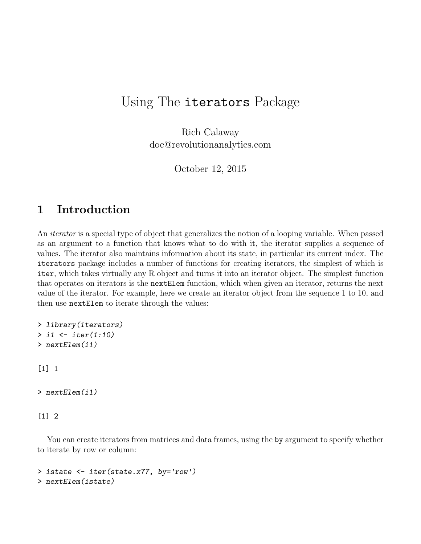## Using The iterators Package

Rich Calaway doc@revolutionanalytics.com

October 12, 2015

## 1 Introduction

An iterator is a special type of object that generalizes the notion of a looping variable. When passed as an argument to a function that knows what to do with it, the iterator supplies a sequence of values. The iterator also maintains information about its state, in particular its current index. The iterators package includes a number of functions for creating iterators, the simplest of which is iter, which takes virtually any R object and turns it into an iterator object. The simplest function that operates on iterators is the nextElem function, which when given an iterator, returns the next value of the iterator. For example, here we create an iterator object from the sequence 1 to 10, and then use nextElem to iterate through the values:

```
> library(iterators)
> i1 <- iter(1:10)
> nextElem(i1)
[1] 1
> nextElem(i1)
[1] 2
```
You can create iterators from matrices and data frames, using the by argument to specify whether to iterate by row or column:

```
> istate <- iter(state.x77, by='row')
> nextElem(istate)
```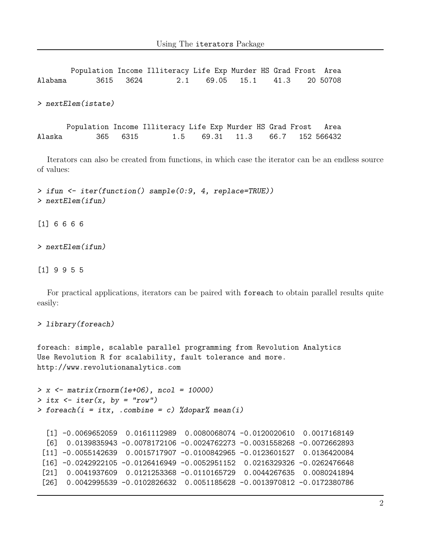Population Income Illiteracy Life Exp Murder HS Grad Frost Area Alabama 3615 3624 2.1 69.05 15.1 41.3 20 50708 > nextElem(istate) Population Income Illiteracy Life Exp Murder HS Grad Frost Area Alaska 365 6315 1.5 69.31 11.3 66.7 152 566432

Iterators can also be created from functions, in which case the iterator can be an endless source of values:

> ifun <- iter(function() sample(0:9, 4, replace=TRUE)) > nextElem(ifun)

[1] 6 6 6 6

> nextElem(ifun)

[1] 9 9 5 5

For practical applications, iterators can be paired with foreach to obtain parallel results quite easily:

```
> library(foreach)
```
foreach: simple, scalable parallel programming from Revolution Analytics Use Revolution R for scalability, fault tolerance and more. http://www.revolutionanalytics.com

```
> x \leftarrow matrix(rnorm(1e+06), ncol = 10000)> itx \le iter(x, by = "row")
> foreach(i = itx, .combine = c) %dopar% mean(i)
```

```
[1] -0.0069652059 0.0161112989 0.0080068074 -0.0120020610 0.0017168149
[6] 0.0139835943 -0.0078172106 -0.0024762273 -0.0031558268 -0.0072662893
[11] -0.0055142639 0.0015717907 -0.0100842965 -0.0123601527 0.0136420084
[16] -0.0242922105 -0.0126416949 -0.0052951152 0.0216329326 -0.0262476648
[21] 0.0041937609 0.0121253368 -0.0110165729 0.0044267635 0.0080241894
[26] 0.0042995539 -0.0102826632 0.0051185628 -0.0013970812 -0.0172380786
```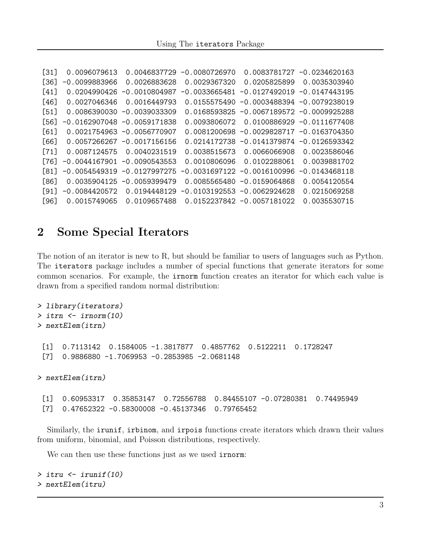```
[31] 0.0096079613 0.0046837729 -0.0080726970 0.0083781727 -0.0234620163
[36] -0.0099883966 0.0026883628 0.0029367320 0.0205825899 0.0035303940
[41] 0.0204990426 -0.0010804987 -0.0033665481 -0.0127492019 -0.0147443195
[46] 0.0027046346 0.0016449793 0.0155575490 -0.0003488394 -0.0079238019
[51] 0.0086390030 -0.0039033309 0.0168593825 -0.0067189572 -0.0009925288
[56] -0.0162907048 -0.0059171838 0.0093806072 0.0100886929 -0.0111677408
[61] 0.0021754963 -0.0056770907 0.0081200698 -0.0029828717 -0.0163704350
[66] 0.0057266267 -0.0017156156 0.0214172738 -0.0141379874 -0.0126593342
[71] 0.0087124575 0.0040231519 0.0038515673 0.0066066908 0.0023586046
[76] -0.0044167901 -0.0090543553 0.0010806096 0.0102288061 0.0039881702
[81] -0.0054549319 -0.0127997275 -0.0031697122 -0.0016100996 -0.0143468118
[86] 0.0035904125 -0.0059399479 0.0085565480 -0.0159064868 0.0054120554
[91] -0.0084420572 0.0194448129 -0.0103192553 -0.0062924628 0.0215069258
[96] 0.0015749065 0.0109657488 0.0152237842 -0.0057181022 0.0035530715
```
## 2 Some Special Iterators

The notion of an iterator is new to R, but should be familiar to users of languages such as Python. The iterators package includes a number of special functions that generate iterators for some common scenarios. For example, the irnorm function creates an iterator for which each value is drawn from a specified random normal distribution:

```
> library(iterators)
> itrn <- irnorm(10)
> nextElem(itrn)
 [1] 0.7113142 0.1584005 -1.3817877 0.4857762 0.5122211 0.1728247
 [7] 0.9886880 -1.7069953 -0.2853985 -2.0681148
> nextElem(itrn)
 [1] 0.60953317 0.35853147 0.72556788 0.84455107 -0.07280381 0.74495949
 [7] 0.47652322 -0.58300008 -0.45137346 0.79765452
```
Similarly, the irunif, irbinom, and irpois functions create iterators which drawn their values from uniform, binomial, and Poisson distributions, respectively.

We can then use these functions just as we used **irnorm**:

```
> itru <- irunif(10)
> nextElem(itru)
```